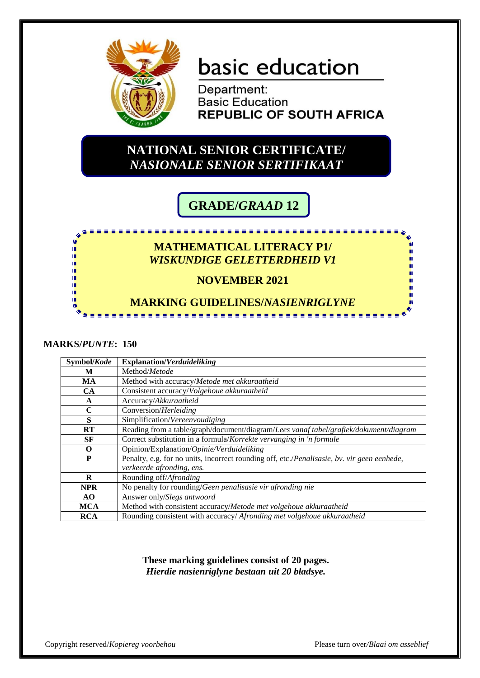

# basic education

Department: **Basic Education REPUBLIC OF SOUTH AFRICA** 

### **NATIONAL SENIOR CERTIFICATE/** *NASIONALE SENIOR SERTIFIKAAT*

## **GRADE/***GRAAD* **12**

## <u>.................</u> **MATHEMATICAL LITERACY P1/** *WISKUNDIGE GELETTERDHEID V1* **NOVEMBER 2021 MARKING GUIDELINES/***NASIENRIGLYNE*

#### **MARKS/***PUNTE***: 150**

ń ú ń ń ш

| Symbol/Kode  | <b>Explanation/Verduideliking</b>                                                           |
|--------------|---------------------------------------------------------------------------------------------|
| M            | Method/Metode                                                                               |
| MA           | Method with accuracy/Metode met akkuraatheid                                                |
| CA           | Consistent accuracy/Volgehoue akkuraatheid                                                  |
| $\mathbf{A}$ | Accuracy/Akkuraatheid                                                                       |
| $\mathbf C$  | Conversion/Herleiding                                                                       |
| S            | Simplification/Vereenvoudiging                                                              |
| RT           | Reading from a table/graph/document/diagram/Lees vanaf tabel/grafiek/dokument/diagram       |
| SF           | Correct substitution in a formula/Korrekte vervanging in 'n formule                         |
| $\Omega$     | Opinion/Explanation/Opinie/Verduideliking                                                   |
| P            | Penalty, e.g. for no units, incorrect rounding off, etc./Penalisasie, bv. vir geen eenhede, |
|              | verkeerde afronding, ens.                                                                   |
| R            | Rounding off/Afronding                                                                      |
| <b>NPR</b>   | No penalty for rounding/Geen penalisasie vir afronding nie                                  |
| AO.          | Answer only/Slegs antwoord                                                                  |
| <b>MCA</b>   | Method with consistent accuracy/Metode met volgehoue akkuraatheid                           |
| <b>RCA</b>   | Rounding consistent with accuracy/ Afronding met volgehoue akkuraatheid                     |

**These marking guidelines consist of 20 pages.** *Hierdie nasienriglyne bestaan uit 20 bladsye.*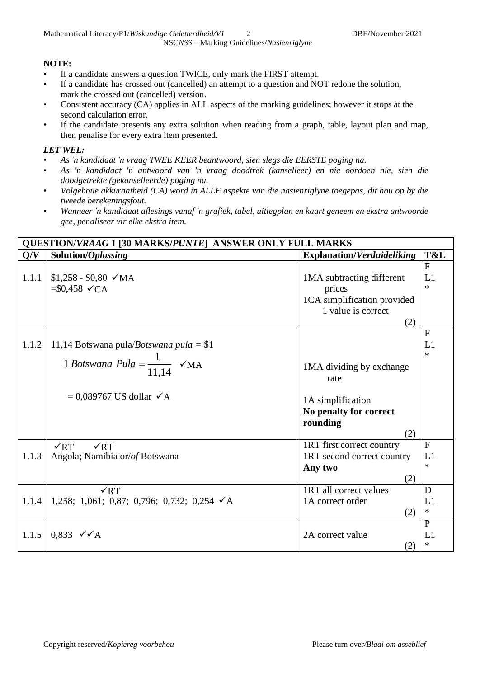#### **NOTE:**

- If a candidate answers a question TWICE, only mark the FIRST attempt.
- If a candidate has crossed out (cancelled) an attempt to a question and NOT redone the solution, mark the crossed out (cancelled) version.
- Consistent accuracy (CA) applies in ALL aspects of the marking guidelines; however it stops at the second calculation error.
- If the candidate presents any extra solution when reading from a graph, table, layout plan and map, then penalise for every extra item presented.

#### *LET WEL:*

- *As 'n kandidaat 'n vraag TWEE KEER beantwoord, sien slegs die EERSTE poging na.*
- *As 'n kandidaat 'n antwoord van 'n vraag doodtrek (kanselleer) en nie oordoen nie, sien die doodgetrekte (gekanselleerde) poging na.*
- *Volgehoue akkuraatheid (CA) word in ALLE aspekte van die nasienriglyne toegepas, dit hou op by die tweede berekeningsfout.*
- *Wanneer 'n kandidaat aflesings vanaf 'n grafiek, tabel, uitlegplan en kaart geneem en ekstra antwoorde gee, penaliseer vir elke ekstra item.*

|       | <b>QUESTION/VRAAG 1 [30 MARKS/PUNTE] ANSWER ONLY FULL MARKS</b>       |                                                                                                 |                              |
|-------|-----------------------------------------------------------------------|-------------------------------------------------------------------------------------------------|------------------------------|
| Q/V   | Solution/Oplossing                                                    | Explanation/Verduideliking                                                                      | T&L                          |
| 1.1.1 | $$1,258 - $0,80 \sqrt{MA}$<br>$= $0,458 \checkmark$ CA                | 1MA subtracting different<br>prices<br>1CA simplification provided<br>1 value is correct<br>(2) | $\mathbf{F}$<br>L1<br>$\ast$ |
| 1.1.2 | 11,14 Botswana pula/ <i>Botswana pula</i> = \$1                       |                                                                                                 | $\mathbf{F}$<br>L1<br>$\ast$ |
|       | 1 Botswana Pula = $\frac{1}{11.14}$ $\checkmark$ MA                   | 1MA dividing by exchange<br>rate                                                                |                              |
|       | $= 0.089767$ US dollar $\checkmark$ A                                 | 1A simplification<br>No penalty for correct<br>rounding<br>(2)                                  |                              |
| 1.1.3 | $\sqrt{RT}$<br>$\sqrt{RT}$<br>Angola; Namibia or/of Botswana          | 1RT first correct country<br>1RT second correct country                                         | $\mathbf F$<br>L1            |
|       |                                                                       | Any two<br>(2)                                                                                  | $\ast$                       |
| 1.1.4 | $\sqrt{RT}$<br>1,258; 1,061; 0,87; 0,796; 0,732; 0,254 $\checkmark$ A | 1RT all correct values<br>1A correct order<br>(2)                                               | D<br>L1<br>$\ast$            |
| 1.1.5 | $0.833 \quad \checkmark \land A$                                      | 2A correct value<br>(2)                                                                         | $\mathbf{P}$<br>L1<br>$\ast$ |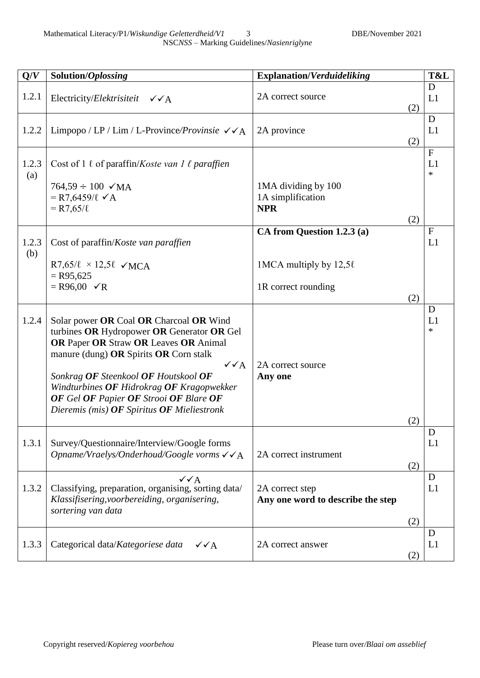| Q/V          | Solution/Oplossing                                                                                                                                                                                                                                                                                                                                                         | <b>Explanation/Verduideliking</b>                      |            | T&L                          |
|--------------|----------------------------------------------------------------------------------------------------------------------------------------------------------------------------------------------------------------------------------------------------------------------------------------------------------------------------------------------------------------------------|--------------------------------------------------------|------------|------------------------------|
| 1.2.1        | Electricity/Elektrisiteit $\checkmark$ A                                                                                                                                                                                                                                                                                                                                   | 2A correct source                                      | (2)        | D<br>L1                      |
| 1.2.2        | Limpopo / LP / Lim / L-Province/ <i>Provinsie</i> $\sqrt{\phantom{a}}$ $\sqrt{\phantom{a}}$                                                                                                                                                                                                                                                                                | 2A province                                            | (2)        | D<br>L1                      |
| 1.2.3<br>(a) | Cost of 1 $\ell$ of paraffin/ <i>Koste van 1 <math>\ell</math> paraffien</i>                                                                                                                                                                                                                                                                                               |                                                        |            | $\mathbf{F}$<br>L1<br>$\ast$ |
|              | $764,59 \div 100$ $\checkmark$ MA<br>$= R7,6459/\ell \checkmark$ A<br>$= R7,65/\ell$                                                                                                                                                                                                                                                                                       | 1MA dividing by 100<br>1A simplification<br><b>NPR</b> | (2)        |                              |
| 1.2.3        | Cost of paraffin/Koste van paraffien                                                                                                                                                                                                                                                                                                                                       | CA from Question 1.2.3 (a)                             |            | $\mathbf{F}$<br>L1           |
| (b)          | $R7,65/\ell \times 12,5\ell \sqrt{MCA}$<br>$=$ R95,625                                                                                                                                                                                                                                                                                                                     | 1MCA multiply by $12,5\ell$                            |            |                              |
|              | $= R96,00 \quad \checkmark R$                                                                                                                                                                                                                                                                                                                                              | 1R correct rounding                                    | (2)        |                              |
| 1.2.4        | Solar power OR Coal OR Charcoal OR Wind<br>turbines OR Hydropower OR Generator OR Gel<br>OR Paper OR Straw OR Leaves OR Animal<br>manure (dung) OR Spirits OR Corn stalk<br>$\sqrt{\sqrt{A}}$<br>Sonkrag OF Steenkool OF Houtskool OF<br>Windturbines OF Hidrokrag OF Kragopwekker<br>OF Gel OF Papier OF Strooi OF Blare OF<br>Dieremis (mis) OF Spiritus OF Mieliestronk | 2A correct source<br>Any one                           | (2)        | D<br>L1<br>$\ast$            |
| 1.3.1        | Survey/Questionnaire/Interview/Google forms<br>Opname/Vraelys/Onderhoud/Google vorms $\checkmark\checkmark$ A                                                                                                                                                                                                                                                              | 2A correct instrument                                  | (2)        | D<br>L1                      |
| 1.3.2        | $\sqrt{\sqrt{A}}$<br>Classifying, preparation, organising, sorting data/<br>Klassifisering, voorbereiding, organisering,<br>sortering van data                                                                                                                                                                                                                             | 2A correct step<br>Any one word to describe the step   |            | D<br>L1                      |
| 1.3.3        | Categorical data/Kategoriese data<br>$\sqrt{\sqrt{A}}$                                                                                                                                                                                                                                                                                                                     | 2A correct answer                                      | (2)<br>(2) | D<br>L1                      |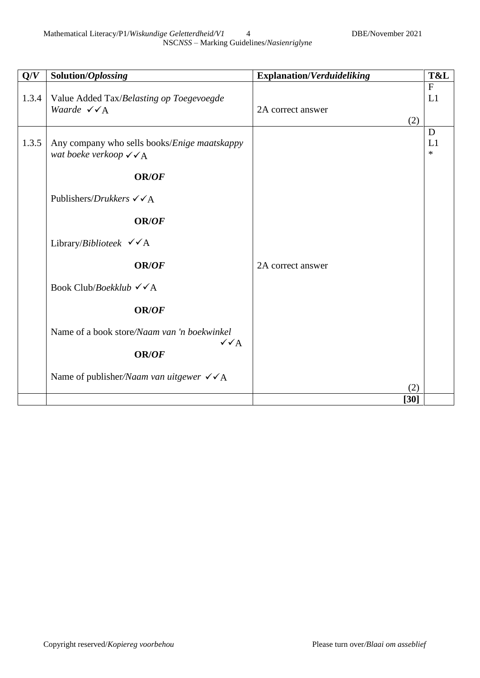| Q/V   | Solution/Oplossing                                                                             | <b>Explanation/Verduideliking</b> | T&L                |
|-------|------------------------------------------------------------------------------------------------|-----------------------------------|--------------------|
| 1.3.4 | Value Added Tax/Belasting op Toegevoegde<br>Waarde $\checkmark$ $\checkmark$ A                 | 2A correct answer                 | $\mathbf{F}$<br>L1 |
|       |                                                                                                | (2)                               |                    |
| 1.3.5 | Any company who sells books/Enige maatskappy<br>wat boeke verkoop $\sqrt{\phantom{a}}\prime$ A |                                   | D<br>L1<br>$\ast$  |
|       | <b>OR/OF</b>                                                                                   |                                   |                    |
|       | Publishers/ <i>Drukkers</i> $\checkmark$ $\checkmark$ A                                        |                                   |                    |
|       | <b>OR/OF</b>                                                                                   |                                   |                    |
|       | Library/ <i>Biblioteek</i> $\checkmark$ A                                                      |                                   |                    |
|       | <b>OR/OF</b>                                                                                   | 2A correct answer                 |                    |
|       | Book Club/Boekklub $\checkmark$ A                                                              |                                   |                    |
|       | OR/OF                                                                                          |                                   |                    |
|       | Name of a book store/Naam van 'n boekwinkel<br>$\sqrt{\sqrt{A}}$                               |                                   |                    |
|       | <b>OR/OF</b>                                                                                   |                                   |                    |
|       | Name of publisher/Naam van uitgewer $\checkmark$ /A                                            |                                   |                    |
|       |                                                                                                | (2)                               |                    |
|       |                                                                                                | $[30]$                            |                    |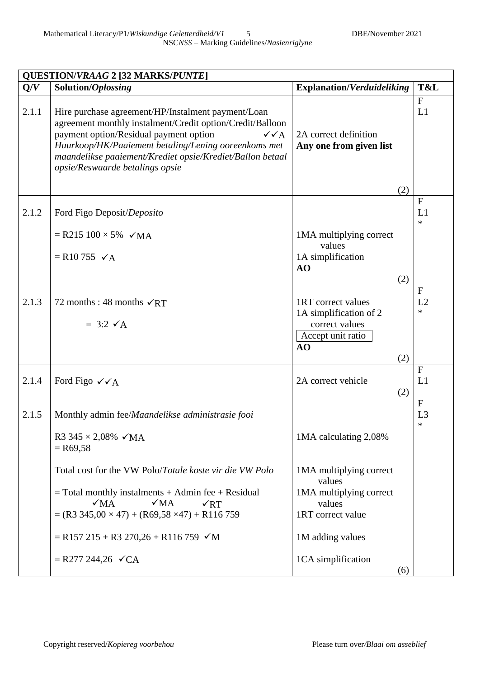|       | <b>QUESTION/VRAAG 2 [32 MARKS/PUNTE]</b>                                                                                                                                                                                                                                                                                               |                                                                |                                          |
|-------|----------------------------------------------------------------------------------------------------------------------------------------------------------------------------------------------------------------------------------------------------------------------------------------------------------------------------------------|----------------------------------------------------------------|------------------------------------------|
| Q/V   | Solution/Oplossing                                                                                                                                                                                                                                                                                                                     | <b>Explanation/Verduideliking</b>                              | T&L                                      |
| 2.1.1 | Hire purchase agreement/HP/Instalment payment/Loan<br>agreement monthly instalment/Credit option/Credit/Balloon<br>payment option/Residual payment option<br>$\sqrt{\sqrt{A}}$<br>Huurkoop/HK/Paaiement betaling/Lening ooreenkoms met<br>maandelikse paaiement/Krediet opsie/Krediet/Ballon betaal<br>opsie/Reswaarde betalings opsie | 2A correct definition<br>Any one from given list               | F<br>L1                                  |
|       |                                                                                                                                                                                                                                                                                                                                        | (2)                                                            | F                                        |
| 2.1.2 | Ford Figo Deposit/Deposito                                                                                                                                                                                                                                                                                                             |                                                                | L1<br>$\ast$                             |
|       | $=$ R215 100 $\times$ 5% $\checkmark$ MA                                                                                                                                                                                                                                                                                               | 1MA multiplying correct<br>values                              |                                          |
|       | $= R10755 \checkmark$                                                                                                                                                                                                                                                                                                                  | 1A simplification<br>AO                                        |                                          |
|       |                                                                                                                                                                                                                                                                                                                                        | (2)                                                            |                                          |
| 2.1.3 | 72 months : 48 months $\sqrt{RT}$<br>$=$ 3:2 $\checkmark$ A                                                                                                                                                                                                                                                                            | 1RT correct values<br>1A simplification of 2<br>correct values | $\mathbf{F}$<br>L2<br>$\ast$             |
|       |                                                                                                                                                                                                                                                                                                                                        | Accept unit ratio<br>AO<br>(2)                                 |                                          |
| 2.1.4 | Ford Figo $\checkmark$ $\checkmark$ A                                                                                                                                                                                                                                                                                                  | 2A correct vehicle<br>(2)                                      | $\mathbf{F}$<br>L1                       |
| 2.1.5 | Monthly admin fee/Maandelikse administrasie fooi                                                                                                                                                                                                                                                                                       |                                                                | $\mathbf{F}$<br>L <sub>3</sub><br>$\ast$ |
|       | R3 345 $\times$ 2,08% $\times$ MA<br>$=$ R69,58                                                                                                                                                                                                                                                                                        | 1MA calculating 2,08%                                          |                                          |
|       | Total cost for the VW Polo/Totale koste vir die VW Polo                                                                                                                                                                                                                                                                                | 1MA multiplying correct<br>values                              |                                          |
|       | $=$ Total monthly instalments $+$ Admin fee $+$ Residual<br>$\sqrt{MA}$<br>$\sqrt{MA}$<br>$\sqrt{RT}$<br>$=(R3 345,00 \times 47) + (R69,58 \times 47) + R116 759$                                                                                                                                                                      | 1MA multiplying correct<br>values<br>1RT correct value         |                                          |
|       |                                                                                                                                                                                                                                                                                                                                        |                                                                |                                          |
|       | $=$ R157 215 + R3 270,26 + R116 759 $\checkmark$ M                                                                                                                                                                                                                                                                                     | 1M adding values                                               |                                          |
|       | $=$ R277 244,26 $\checkmark$ CA                                                                                                                                                                                                                                                                                                        | 1CA simplification<br>(6)                                      |                                          |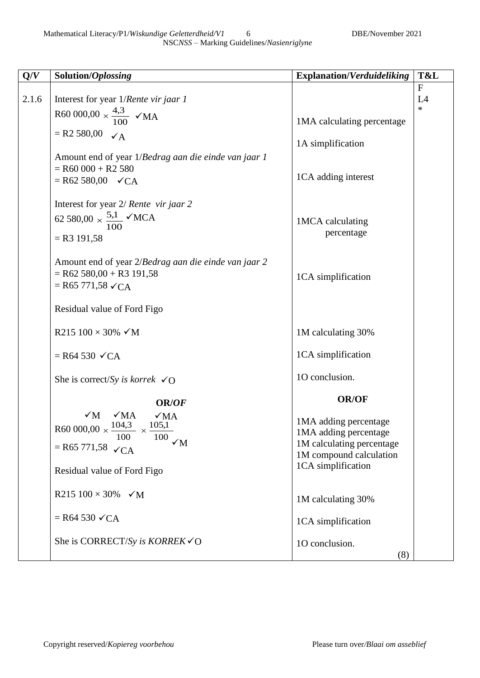Mathematical Literacy/P1/Wiskundige Geletterdheid/V1 6 DBE/November 2021

| Q/V   | Solution/Oplossing                                                                                                                                      | <b>Explanation/Verduideliking</b>                                                                      | T&L                          |
|-------|---------------------------------------------------------------------------------------------------------------------------------------------------------|--------------------------------------------------------------------------------------------------------|------------------------------|
| 2.1.6 | Interest for year 1/Rente vir jaar 1                                                                                                                    |                                                                                                        | $\mathbf{F}$<br>L4<br>$\ast$ |
|       | R60 000,00 $\times \frac{4,3}{100}$ $\checkmark$ MA                                                                                                     | 1MA calculating percentage                                                                             |                              |
|       | $= R2 580,00 \quad \checkmark{A}$                                                                                                                       | 1A simplification                                                                                      |                              |
|       | Amount end of year 1/Bedrag aan die einde van jaar 1<br>$=$ R60 000 + R2 580<br>$=$ R62 580,00 $\checkmark$ CA                                          | 1CA adding interest                                                                                    |                              |
|       | Interest for year 2/ Rente vir jaar 2<br>62 580,00 $\times \frac{5,1}{100}$ $\checkmark$ MCA<br>$=$ R3 191,58                                           | 1MCA calculating<br>percentage                                                                         |                              |
|       | Amount end of year 2/Bedrag aan die einde van jaar 2<br>$=$ R62 580,00 + R3 191,58<br>$=$ R65 771,58 $\checkmark$ CA                                    | 1CA simplification                                                                                     |                              |
|       | Residual value of Ford Figo                                                                                                                             |                                                                                                        |                              |
|       | R215 100 × 30% $\checkmark$ M                                                                                                                           | 1M calculating 30%                                                                                     |                              |
|       | $=$ R64 530 $\checkmark$ CA                                                                                                                             | 1CA simplification                                                                                     |                              |
|       | She is correct/Sy is korrek $\checkmark$ O                                                                                                              | 10 conclusion.                                                                                         |                              |
|       | OR/OF                                                                                                                                                   | <b>OR/OF</b>                                                                                           |                              |
|       | $\sqrt{M}$<br>$\sqrt{MA}$<br>$\sqrt{MA}$<br>$R60000,00 \times \frac{104,3}{4}$<br>105,1<br>$- x -$<br>$100 \sqrt{M}$<br>100<br>= R65 771,58 $\sqrt{CA}$ | 1MA adding percentage<br>1MA adding percentage<br>1M calculating percentage<br>1M compound calculation |                              |
|       | Residual value of Ford Figo                                                                                                                             | 1CA simplification                                                                                     |                              |
|       | R215 $100 \times 30\%$ $\checkmark$ M                                                                                                                   | 1M calculating 30%                                                                                     |                              |
|       | $=$ R64 530 $\checkmark$ CA                                                                                                                             | 1CA simplification                                                                                     |                              |
|       | She is CORRECT/Sy is KORREK $\checkmark$ O                                                                                                              | 10 conclusion.<br>(8)                                                                                  |                              |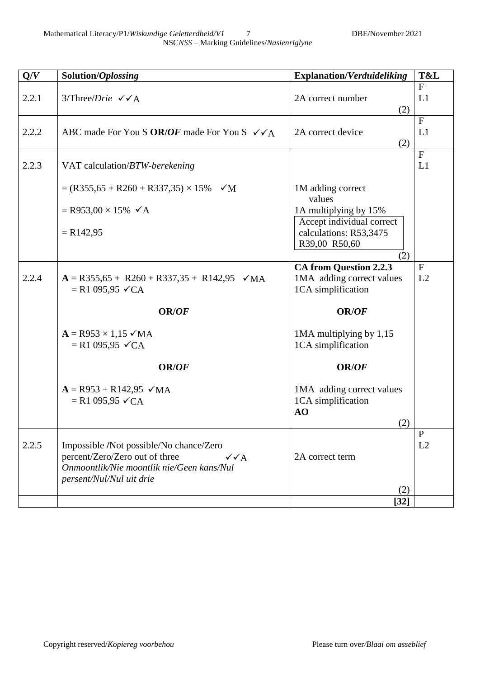| Q/V   | Solution/Oplossing                                                                                                                                                      | <b>Explanation/Verduideliking</b>                                                | T&L                |
|-------|-------------------------------------------------------------------------------------------------------------------------------------------------------------------------|----------------------------------------------------------------------------------|--------------------|
| 2.2.1 | $3/Three/Drie \ \sqrt{\triangle}$                                                                                                                                       | 2A correct number<br>(2)                                                         | F<br>L1            |
| 2.2.2 | ABC made For You S OR/OF made For You S $\checkmark$ $\checkmark$ A                                                                                                     | 2A correct device<br>(2)                                                         | F<br>L1            |
| 2.2.3 | VAT calculation/BTW-berekening                                                                                                                                          |                                                                                  | F<br>L1            |
|       | $= (R355.65 + R260 + R337.35) \times 15\%$ $\checkmark$ M                                                                                                               | 1M adding correct<br>values                                                      |                    |
|       | $=$ R953,00 $\times$ 15% $\checkmark$ A                                                                                                                                 | 1A multiplying by 15%                                                            |                    |
|       | $= R142,95$                                                                                                                                                             | Accept individual correct<br>calculations: R53,3475<br>R39,00 R50,60             |                    |
|       |                                                                                                                                                                         | (2)                                                                              | F                  |
| 2.2.4 | $A = R355,65 + R260 + R337,35 + R142,95 \quad \checkmark \text{MA}$<br>$= R1 095,95 \checkmark CA$                                                                      | <b>CA from Question 2.2.3</b><br>1MA adding correct values<br>1CA simplification | L2                 |
|       | OR/OF                                                                                                                                                                   | <b>OR/OF</b>                                                                     |                    |
|       | $A = R953 \times 1,15 \checkmark \text{MA}$<br>$= R1 095,95 \checkmark CA$                                                                                              | 1MA multiplying by 1,15<br>1CA simplification                                    |                    |
|       | OR/OF                                                                                                                                                                   | <b>OR/OF</b>                                                                     |                    |
|       | $A = R953 + R142,95$ $\checkmark$ MA<br>$= R1 095,95 \checkmark CA$                                                                                                     | 1MA adding correct values<br>1CA simplification<br>AO<br>(2)                     |                    |
| 2.2.5 | Impossible /Not possible/No chance/Zero<br>percent/Zero/Zero out of three<br>$\sqrt{\sqrt{A}}$<br>Onmoontlik/Nie moontlik nie/Geen kans/Nul<br>persent/Nul/Nul uit drie | 2A correct term<br>(2)                                                           | $\mathbf{P}$<br>L2 |
|       |                                                                                                                                                                         | $\lceil 32 \rceil$                                                               |                    |
|       |                                                                                                                                                                         |                                                                                  |                    |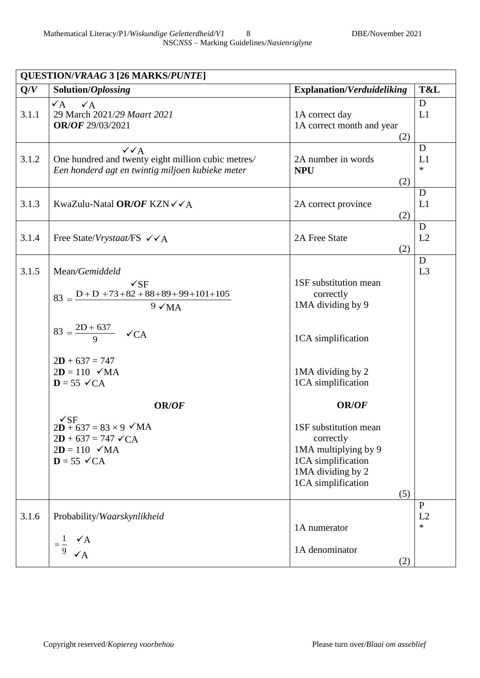|       | <b>QUESTION/VRAAG 3 [26 MARKS/PUNTE]</b>                                                                                                                                                                                                               |                                                                                                                                    |                     |
|-------|--------------------------------------------------------------------------------------------------------------------------------------------------------------------------------------------------------------------------------------------------------|------------------------------------------------------------------------------------------------------------------------------------|---------------------|
| Q/V   | Solution/Oplossing                                                                                                                                                                                                                                     | <b>Explanation/Verduideliking</b>                                                                                                  | T&L                 |
| 3.1.1 | $\sqrt{A}$<br>$\checkmark$ A<br>29 March 2021/29 Maart 2021<br>OR/OF 29/03/2021                                                                                                                                                                        | 1A correct day<br>1A correct month and year<br>(2)                                                                                 | D<br>L1             |
| 3.1.2 | $\sqrt{\sqrt{A}}$<br>One hundred and twenty eight million cubic metres/<br>Een honderd agt en twintig miljoen kubieke meter                                                                                                                            | 2A number in words<br><b>NPU</b><br>(2)                                                                                            | D<br>L1<br>$\ast$   |
| 3.1.3 | KwaZulu-Natal OR/OF KZN $\checkmark$ A                                                                                                                                                                                                                 | 2A correct province<br>(2)                                                                                                         | D<br>L1             |
| 3.1.4 | Free State/Vrystaat/FS $\checkmark$ $\checkmark$ A                                                                                                                                                                                                     | 2A Free State<br>(2)                                                                                                               | D<br>L2             |
| 3.1.5 | Mean/Gemiddeld<br>$\sqrt{\text{SF}}$<br>$83 = \frac{D + D + 73 + 82 + 88 + 89 + 99 + 101 + 105}{2}$<br>$9 \sqrt{MA}$<br>$83 = \frac{2D + 637}{9}$ $\checkmark$ CA<br>$2D + 637 = 747$<br>$2D = 110$ $\checkmark$ MA<br>$D = 55 \checkmark$ CA<br>OR/OF | 1SF substitution mean<br>correctly<br>1MA dividing by 9<br>1CA simplification<br>1MA dividing by 2<br>1CA simplification<br>OR/OF  | D<br>L <sub>3</sub> |
|       | $\sqrt{\text{SF}}$<br>$2D + 637 = 83 \times 9$ $\checkmark$ MA<br>$2D + 637 = 747 \checkmark CA$<br>$2D = 110$ $\checkmark$ MA<br>$D = 55 \checkmark CA$                                                                                               | 1SF substitution mean<br>correctly<br>1MA multiplying by 9<br>1CA simplification<br>1MA dividing by 2<br>1CA simplification<br>(5) |                     |
| 3.1.6 | Probability/Waarskynlikheid<br>$\checkmark$ A<br>1<br>$=$ $-$<br>9<br>$\checkmark$ A                                                                                                                                                                   | 1A numerator<br>1A denominator<br>(2)                                                                                              | P<br>L2<br>$\ast$   |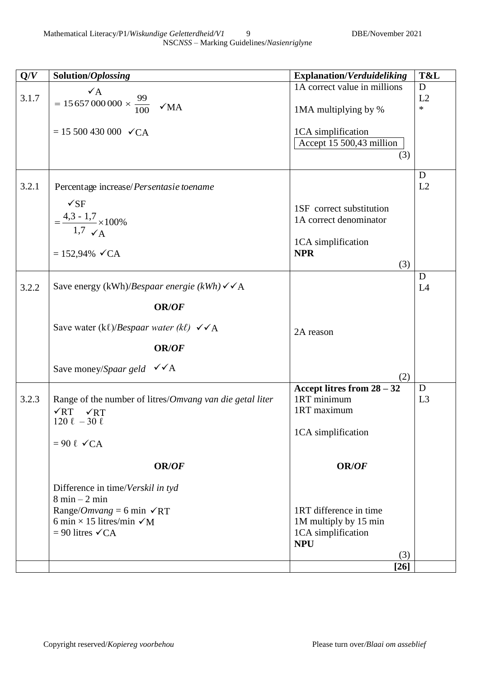| Q/V   | Solution/Oplossing                                                                  | <b>Explanation/Verduideliking</b>               | T&L         |
|-------|-------------------------------------------------------------------------------------|-------------------------------------------------|-------------|
|       | $\mathbf{v}_A$                                                                      | 1A correct value in millions                    | D<br>L2     |
| 3.1.7 | = 15 657 000 000 $\times \frac{99}{100}$ $\checkmark$ MA                            | 1MA multiplying by %                            | $\ast$      |
|       | $= 15500430000 \sqrt{CA}$                                                           | 1CA simplification                              |             |
|       |                                                                                     | Accept 15 500,43 million                        |             |
|       |                                                                                     | (3)                                             |             |
|       |                                                                                     |                                                 | D           |
| 3.2.1 | Percentage increase/Persentasie toename                                             |                                                 | L2          |
|       | $\sqrt{\text{SF}}$                                                                  | 1SF correct substitution                        |             |
|       | $=\frac{4,3-1,7}{1,7} \times 100\%$                                                 | 1A correct denominator                          |             |
|       |                                                                                     | 1CA simplification                              |             |
|       | $= 152,94\%$ $\checkmark$ CA                                                        | <b>NPR</b>                                      |             |
|       |                                                                                     | (3)                                             | D           |
| 3.2.2 | Save energy (kWh)/Bespaar energie (kWh) $\checkmark$ A                              |                                                 | L4          |
|       | OR/OF                                                                               |                                                 |             |
|       | Save water (kl)/Bespaar water (kl) $\checkmark$ A                                   | 2A reason                                       |             |
|       | <b>OR/OF</b>                                                                        |                                                 |             |
|       | Save money/Spaar geld $\sqrt{\triangle}$ A                                          | (2)                                             |             |
|       |                                                                                     | Accept litres from $28 - 32$                    | $\mathbf D$ |
| 3.2.3 | Range of the number of litres/Omvang van die getal liter<br>$\sqrt{RT}$ $\sqrt{RT}$ | 1RT minimum<br>1RT maximum                      | L3          |
|       | $120 \ell - 30 \ell$                                                                |                                                 |             |
|       | $= 90 \text{ }\ell \text{ } \checkmark$ CA                                          | 1CA simplification                              |             |
|       |                                                                                     |                                                 |             |
|       | <b>OR/OF</b>                                                                        | <b>OR/OF</b>                                    |             |
|       | Difference in time/Verskil in tyd                                                   |                                                 |             |
|       | $8 \text{ min} - 2 \text{ min}$                                                     |                                                 |             |
|       | Range/ <i>Omvang</i> = 6 min $\sqrt{RT}$<br>6 min $\times$ 15 litres/min $\sqrt{M}$ | 1RT difference in time<br>1M multiply by 15 min |             |
|       | $= 90$ litres $\checkmark$ CA                                                       | 1CA simplification                              |             |
|       |                                                                                     | <b>NPU</b><br>(3)                               |             |
|       |                                                                                     | $[26]$                                          |             |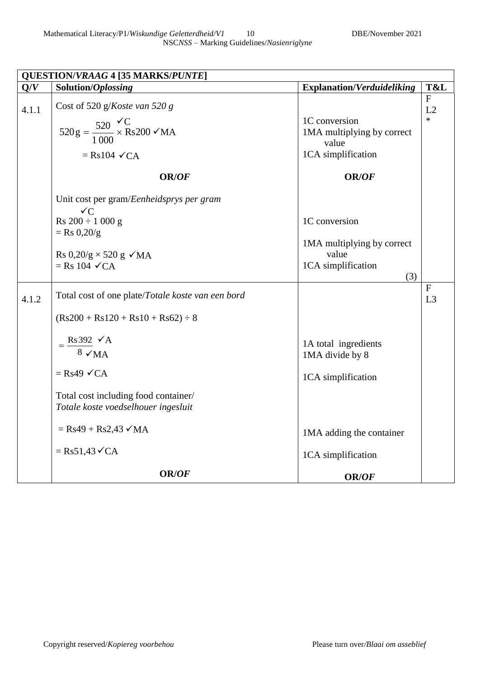| Mathematical Literacy/P1/Wiskundige Geletterdheid/V1 | DBE/November 2021 |
|------------------------------------------------------|-------------------|
| NSCNSS – Marking Guidelines/Nasienriglyne            |                   |

| QUESTION/VRAAG 4 [35 MARKS/PUNTE] |                                                                             |                                                      |                    |
|-----------------------------------|-----------------------------------------------------------------------------|------------------------------------------------------|--------------------|
| Q/V                               | Solution/Oplossing                                                          | <b>Explanation/Verduideliking</b>                    | T&L                |
| 4.1.1                             | Cost of 520 g/Koste van 520 g                                               |                                                      | $\mathbf{F}$<br>L2 |
|                                   | $520 \text{ g} = \frac{520}{1000} \times Rs200 \times MA$                   | 1C conversion<br>1MA multiplying by correct<br>value | $\ast$             |
|                                   | $=$ Rs104 $\checkmark$ CA                                                   | 1CA simplification                                   |                    |
|                                   | <b>OR/OF</b>                                                                | OR/OF                                                |                    |
|                                   | Unit cost per gram/Eenheidsprys per gram<br>$\checkmark C$                  |                                                      |                    |
|                                   | $Rs 200 \div 1000 g$<br>$=$ Rs 0,20/g                                       | 1C conversion                                        |                    |
|                                   | Rs $0,20/g \times 520 g \sqrt{MA}$                                          | 1MA multiplying by correct<br>value                  |                    |
|                                   | $=$ Rs 104 $\checkmark$ CA                                                  | 1CA simplification<br>(3)                            |                    |
| 4.1.2                             | Total cost of one plate/Totale koste van een bord                           |                                                      | $\mathbf{F}$<br>L3 |
|                                   | $(Rs200 + Rs120 + Rs10 + Rs62) \div 8$                                      |                                                      |                    |
|                                   | $Rs 392 \checkmark A$<br>$8 \sqrt{MA}$                                      | 1A total ingredients<br>1MA divide by 8              |                    |
|                                   | $=$ Rs49 $\checkmark$ CA                                                    | 1CA simplification                                   |                    |
|                                   | Total cost including food container/<br>Totale koste voedselhouer ingesluit |                                                      |                    |
|                                   | $=$ Rs49 + Rs2,43 $\checkmark$ MA                                           | 1MA adding the container                             |                    |
|                                   | $=$ Rs51,43 $\checkmark$ CA                                                 | 1CA simplification                                   |                    |
|                                   | <b>OR/OF</b>                                                                | OR/OF                                                |                    |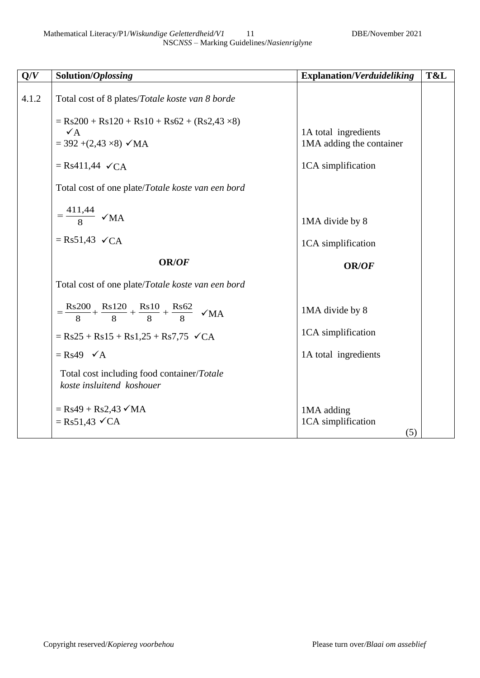| Q/V   | Solution/Oplossing                                                                                                                                                                                                                                                | <b>Explanation/Verduideliking</b>                                      | T&L |
|-------|-------------------------------------------------------------------------------------------------------------------------------------------------------------------------------------------------------------------------------------------------------------------|------------------------------------------------------------------------|-----|
| 4.1.2 | Total cost of 8 plates/Totale koste van 8 borde<br>$=$ Rs200 + Rs120 + Rs10 + Rs62 + (Rs2,43 $\times$ 8)<br>$\sqrt{A}$<br>$=$ 392 +(2,43 $\times$ 8) $\checkmark$ MA<br>$=$ Rs411,44 $\checkmark$ CA<br>Total cost of one plate/ <i>Totale koste van een bord</i> | 1A total ingredients<br>1MA adding the container<br>1CA simplification |     |
|       | $=\frac{411,44}{8}$ $\checkmark$ MA<br>$=$ Rs51,43 $\checkmark$ CA<br><b>OR/OF</b>                                                                                                                                                                                | 1MA divide by 8<br>1CA simplification<br>OR/OF                         |     |
|       | Total cost of one plate/Totale koste van een bord                                                                                                                                                                                                                 |                                                                        |     |
|       | $=\frac{Rs200}{8} + \frac{Rs120}{8} + \frac{Rs10}{8} + \frac{Rs62}{8}$ $\checkmark$ MA<br>$=$ Rs25 + Rs15 + Rs1,25 + Rs7,75 $\checkmark$ CA<br>$=$ Rs49 $\checkmark$ A<br>Total cost including food container/Totale                                              | 1MA divide by 8<br>1CA simplification<br>1A total ingredients          |     |
|       | koste insluitend koshouer<br>$=$ Rs49 + Rs2,43 $\checkmark$ MA<br>$=$ Rs51,43 $\checkmark$ CA                                                                                                                                                                     | 1MA adding<br>1CA simplification<br>(5)                                |     |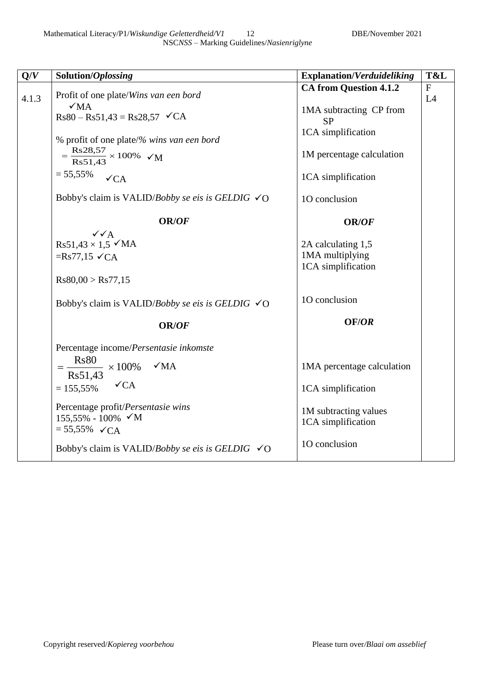| Q/V   | Solution/Oplossing                                                   | <b>Explanation/Verduideliking</b>    | T&L       |
|-------|----------------------------------------------------------------------|--------------------------------------|-----------|
|       | Profit of one plate/Wins van een bord                                | <b>CA from Question 4.1.2</b>        | ${\bf F}$ |
| 4.1.3 | $\sqrt{MA}$                                                          |                                      | L4        |
|       | $Rs80 - Rs51,43 = Rs28,57 \quad \sqrt{CA}$                           | 1MA subtracting CP from<br><b>SP</b> |           |
|       | % profit of one plate/% wins van een bord                            | 1CA simplification                   |           |
|       | $=\frac{\text{Rs}28,57}{\text{Rs}51,43} \times 100\%$ $\checkmark$ M | 1M percentage calculation            |           |
|       | $= 55,55\%$<br>$\checkmark$ CA                                       | 1CA simplification                   |           |
|       | Bobby's claim is VALID/Bobby se eis is GELDIG $\checkmark$ O         | 10 conclusion                        |           |
|       | <b>OR/OF</b>                                                         | OR/OF                                |           |
|       | $\sqrt{\sqrt{A}}$<br>$Rs51,43 \times 1,5$ $\checkmark$ MA            | 2A calculating 1,5                   |           |
|       | $=Rs77,15 \checkmark CA$                                             | 1MA multiplying                      |           |
|       |                                                                      | 1CA simplification                   |           |
|       | Rs80,00 > Rs77,15                                                    |                                      |           |
|       | Bobby's claim is VALID/Bobby se eis is GELDIG $\checkmark$ O         | 10 conclusion                        |           |
|       | OR/OF                                                                | OF/OR                                |           |
|       | Percentage income/Persentasie inkomste                               |                                      |           |
|       | $\sqrt{MA}$<br>$\frac{1}{\text{Rs}51,43} \times 100\%$               | 1MA percentage calculation           |           |
|       | $\checkmark$ CA<br>$= 155,55\%$                                      | 1CA simplification                   |           |
|       | Percentage profit/Persentasie wins                                   | 1M subtracting values                |           |
|       | $155,55\% - 100\% \checkmark M$                                      | 1CA simplification                   |           |
|       | $= 55,55\%$ $\checkmark$ CA                                          |                                      |           |
|       | Bobby's claim is VALID/Bobby se eis is GELDIG $\checkmark$ O         | 10 conclusion                        |           |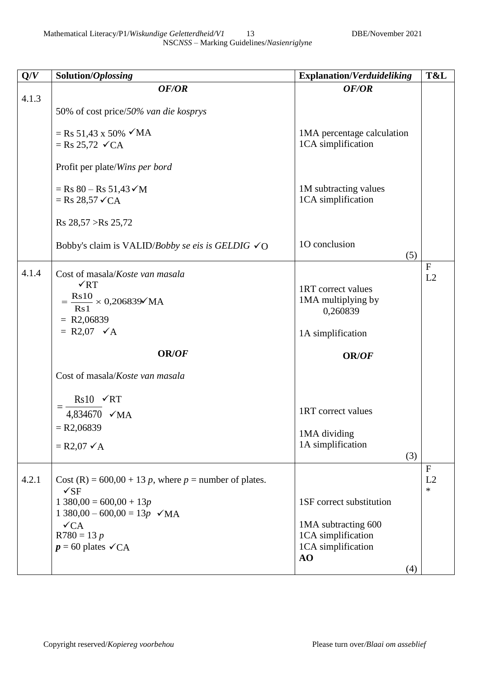| Mathematical Literacy/P1/Wiskundige Geletterdheid/V1 |                                           |
|------------------------------------------------------|-------------------------------------------|
|                                                      | NSCNSS – Marking Guidelines/Nasienriglyne |

| Q/V   | Solution/Oplossing                                                                                                                                                                                           | <b>Explanation/Verduideliking</b>                                                                 | T&L                          |
|-------|--------------------------------------------------------------------------------------------------------------------------------------------------------------------------------------------------------------|---------------------------------------------------------------------------------------------------|------------------------------|
|       | OF/OR                                                                                                                                                                                                        | OF/OR                                                                                             |                              |
| 4.1.3 | 50% of cost price/50% van die kosprys                                                                                                                                                                        |                                                                                                   |                              |
|       | $=$ Rs 51,43 x 50% $\checkmark$ MA<br>$=$ Rs 25,72 $\checkmark$ CA                                                                                                                                           | 1MA percentage calculation<br>1CA simplification                                                  |                              |
|       | Profit per plate/Wins per bord                                                                                                                                                                               |                                                                                                   |                              |
|       | $=$ Rs 80 – Rs 51,43 $\checkmark$ M<br>$=$ Rs 28,57 $\checkmark$ CA                                                                                                                                          | 1M subtracting values<br>1CA simplification                                                       |                              |
|       | Rs 28,57 > Rs 25,72                                                                                                                                                                                          |                                                                                                   |                              |
|       | Bobby's claim is VALID/Bobby se eis is GELDIG $\checkmark$ O                                                                                                                                                 | 10 conclusion<br>(5)                                                                              |                              |
| 4.1.4 | Cost of masala/Koste van masala<br>$\sqrt{RT}$<br>$=\frac{\text{Rs}10}{\text{Rs}1}\times0,206839\text{VMA}$<br>$= R2,06839$<br>$= R2,07 \checkmark A$                                                        | 1RT correct values<br>1MA multiplying by<br>0,260839<br>1A simplification                         | $\mathbf F$<br>L2            |
|       | <b>OR/OF</b>                                                                                                                                                                                                 | <b>OR/OF</b>                                                                                      |                              |
|       | Cost of masala/Koste van masala                                                                                                                                                                              |                                                                                                   |                              |
|       | $Rs10 \quad \checkmark RT$<br>4,834670 <del>√</del> MA<br>$= R2,06839$<br>$=$ R2,07 $\checkmark$ A                                                                                                           | 1RT correct values<br>1MA dividing<br>1A simplification<br>(3)                                    |                              |
| 4.2.1 | Cost (R) = $600,00 + 13 p$ , where p = number of plates.<br>$\sqrt{\rm SF}$<br>$1380,00 = 600,00 + 13p$<br>$1380,00 - 600,00 = 13p \sqrt{MA}$<br>$\sqrt{CA}$<br>$R780 = 13 p$<br>$p = 60$ plates $\sqrt{CA}$ | 1SF correct substitution<br>1MA subtracting 600<br>1CA simplification<br>1CA simplification<br>AO | $\mathbf{F}$<br>L2<br>$\ast$ |
|       |                                                                                                                                                                                                              | (4)                                                                                               |                              |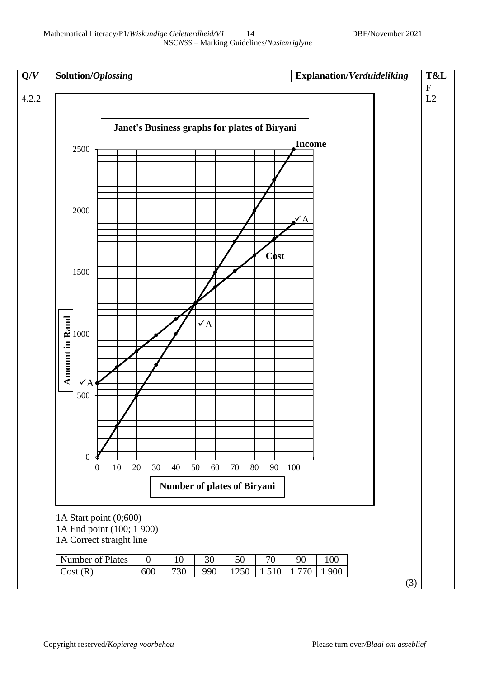

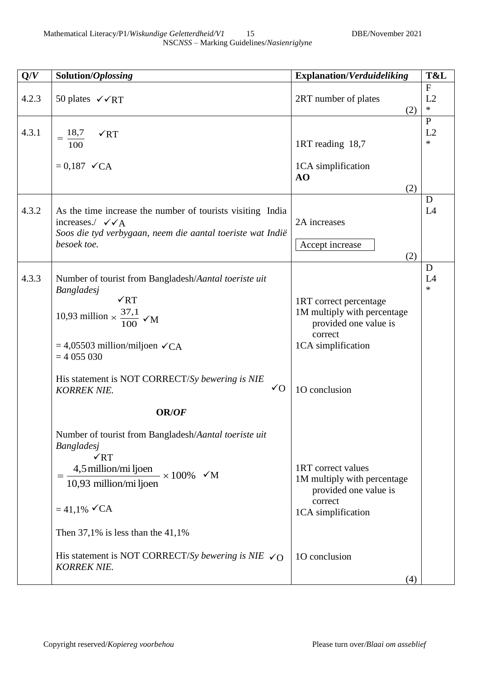| 4.2.3<br>4.3.1 | 50 plates $\sqrt{\text{RT}}$<br>$=\frac{18,7}{1}$<br>$\sqrt{RT}$<br>100<br>$= 0.187 \checkmark$ CA                                                                                                                                                                                                                                     | 2RT number of plates<br>(2)<br>1RT reading 18,7<br>1CA simplification                                                               | $\mathbf{F}$<br>L2<br>$\ast$<br>$\mathbf{P}$<br>L2<br>$\ast$ |
|----------------|----------------------------------------------------------------------------------------------------------------------------------------------------------------------------------------------------------------------------------------------------------------------------------------------------------------------------------------|-------------------------------------------------------------------------------------------------------------------------------------|--------------------------------------------------------------|
|                |                                                                                                                                                                                                                                                                                                                                        |                                                                                                                                     |                                                              |
|                |                                                                                                                                                                                                                                                                                                                                        | AO<br>(2)                                                                                                                           |                                                              |
| 4.3.2          | As the time increase the number of tourists visiting India<br>increases./ $\checkmark$ $\checkmark$ A<br>Soos die tyd verbygaan, neem die aantal toeriste wat Indië<br>besoek toe.                                                                                                                                                     | 2A increases<br>Accept increase<br>(2)                                                                                              | D<br>L4                                                      |
| 4.3.3          | Number of tourist from Bangladesh/Aantal toeriste uit<br><b>Bangladesj</b><br>$\sqrt{RT}$<br>10,93 million $\times \frac{37,1}{100}$ $\checkmark$ M<br>$= 4,05503$ million/miljoen $\checkmark$ CA<br>$= 4055030$<br>His statement is NOT CORRECT/Sy bewering is NIE<br>$\sqrt{O}$<br><b>KORREK NIE.</b><br>OR/OF                      | 1RT correct percentage<br>1M multiply with percentage<br>provided one value is<br>correct<br>1CA simplification<br>10 conclusion    | D<br>L4<br>$\ast$                                            |
|                | Number of tourist from Bangladesh/Aantal toeriste uit<br><b>Bangladesj</b><br>$\sqrt{RT}$<br>4,5 million/mi ljoen $\times 100\%$ $\times M$<br>10,93 million/mi ljoen<br>$= 41.1\%$ $\checkmark$ CA<br>Then $37,1\%$ is less than the $41,1\%$<br>His statement is NOT CORRECT/Sy bewering is NIE $\checkmark$ O<br><b>KORREK NIE.</b> | 1RT correct values<br>1M multiply with percentage<br>provided one value is<br>correct<br>1CA simplification<br>10 conclusion<br>(4) |                                                              |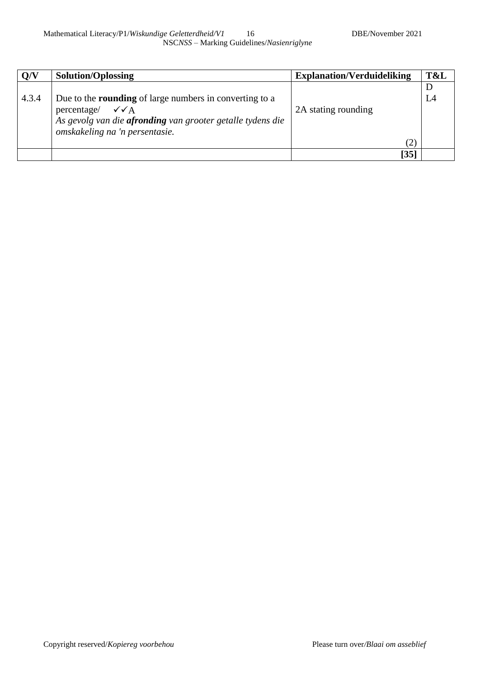| Q/V   | Solution/Oplossing                                                                                                                                                                                        | <b>Explanation/Verduideliking</b> | T&L                |
|-------|-----------------------------------------------------------------------------------------------------------------------------------------------------------------------------------------------------------|-----------------------------------|--------------------|
| 4.3.4 | Due to the <b>rounding</b> of large numbers in converting to a<br>percentage/ $\checkmark$ $\checkmark$ A<br>As gevolg van die afronding van grooter getalle tydens die<br>omskakeling na 'n persentasie. | 2A stating rounding<br>(2)        | $\mathbf{D}$<br>L4 |
|       |                                                                                                                                                                                                           | [35]                              |                    |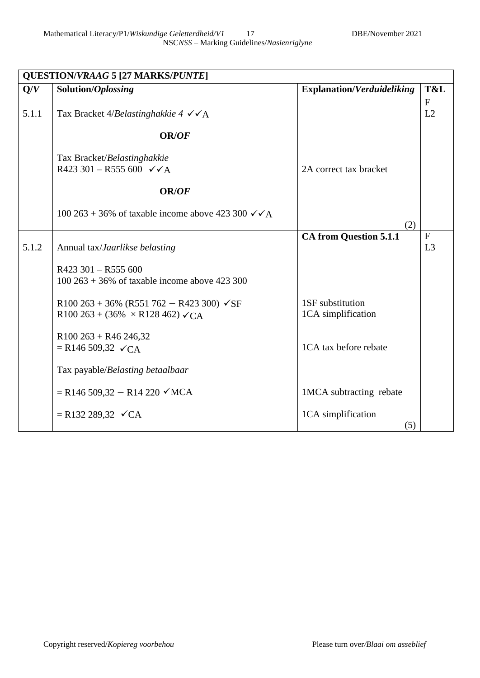| <b>QUESTION/VRAAG 5 [27 MARKS/PUNTE]</b> |                                                                                                            |                                        |                                |  |
|------------------------------------------|------------------------------------------------------------------------------------------------------------|----------------------------------------|--------------------------------|--|
| Q/V                                      | Solution/Oplossing                                                                                         | <b>Explanation/Verduideliking</b>      | T&L                            |  |
| 5.1.1                                    | Tax Bracket 4/Belastinghakkie 4 $\checkmark$ $\checkmark$ A                                                |                                        | $\mathbf{F}$<br>L2             |  |
|                                          | <b>OR/OF</b>                                                                                               |                                        |                                |  |
|                                          | Tax Bracket/Belastinghakkie<br>R423 301 - R555 600 $\checkmark$ A                                          | 2A correct tax bracket                 |                                |  |
|                                          | <b>OR/OF</b>                                                                                               |                                        |                                |  |
|                                          | 100 263 + 36% of taxable income above 423 300 $\checkmark$ / A                                             | (2)                                    |                                |  |
| 5.1.2                                    | Annual tax/ <i>Jaarlikse belasting</i>                                                                     | <b>CA from Question 5.1.1</b>          | $\mathbf{F}$<br>L <sub>3</sub> |  |
|                                          | $R423$ 301 - R555 600<br>$100\,263 + 36\%$ of taxable income above 423 300                                 |                                        |                                |  |
|                                          | R100 263 + 36% (R551 762 - R423 300) $\checkmark$ SF<br>R100 263 + (36% $\times$ R128 462) $\checkmark$ CA | 1SF substitution<br>1CA simplification |                                |  |
|                                          | $R100263 + R46246,32$<br>$=$ R146 509,32 $\checkmark$ CA                                                   | 1CA tax before rebate                  |                                |  |
|                                          | Tax payable/Belasting betaalbaar                                                                           |                                        |                                |  |
|                                          | $=$ R146 509,32 – R14 220 $\checkmark$ MCA                                                                 | 1MCA subtracting rebate                |                                |  |
|                                          | $=$ R132 289,32 $\checkmark$ CA                                                                            | 1CA simplification<br>(5)              |                                |  |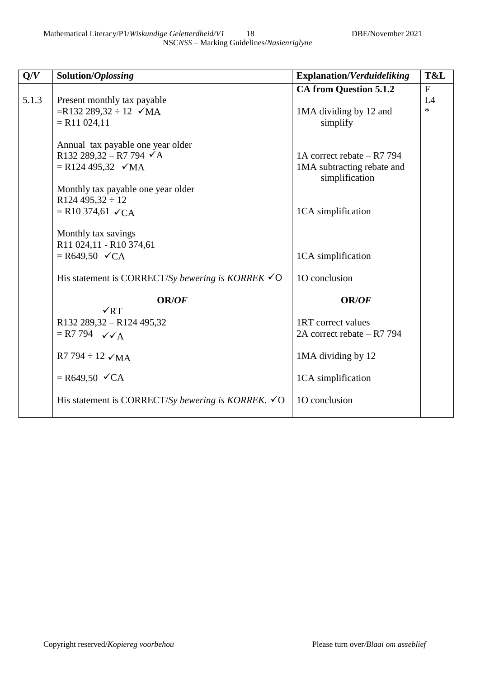| Q/V   | Solution/Oplossing                                             | <b>Explanation/Verduideliking</b> | T&L     |
|-------|----------------------------------------------------------------|-----------------------------------|---------|
|       |                                                                | <b>CA from Question 5.1.2</b>     | F       |
| 5.1.3 | Present monthly tax payable                                    |                                   | L4      |
|       | $=R132 289,32 \div 12$ $\checkmark$ MA                         | 1MA dividing by 12 and            | $\star$ |
|       | $=$ R11 024,11                                                 | simplify                          |         |
|       | Annual tax payable one year older                              |                                   |         |
|       | R132 289,32 - R7 794 $\checkmark$ A                            | 1A correct rebate - R7 794        |         |
|       | $= R124 495,32 \sqrt{MA}$                                      | 1MA subtracting rebate and        |         |
|       |                                                                | simplification                    |         |
|       | Monthly tax payable one year older                             |                                   |         |
|       | R124 495,32 $\div$ 12                                          |                                   |         |
|       | $=$ R10 374,61 $\checkmark$ CA                                 | 1CA simplification                |         |
|       |                                                                |                                   |         |
|       | Monthly tax savings                                            |                                   |         |
|       | R11 024,11 - R10 374,61                                        |                                   |         |
|       | $=$ R649,50 $\checkmark$ CA                                    | 1CA simplification                |         |
|       | His statement is CORRECT/Sy bewering is KORREK $\checkmark$ O  | 10 conclusion                     |         |
|       |                                                                |                                   |         |
|       | <b>OR/OF</b><br>$\sqrt{RT}$                                    | <b>OR/OF</b>                      |         |
|       | R132 289,32 - R124 495,32                                      | 1RT correct values                |         |
|       | $= R7 794$ $\checkmark$ A                                      | 2A correct rebate – R7 794        |         |
|       |                                                                |                                   |         |
|       | $R7 794 \div 12 \sqrt{MA}$                                     | 1MA dividing by 12                |         |
|       |                                                                |                                   |         |
|       | $=$ R649,50 $\checkmark$ CA                                    | 1CA simplification                |         |
|       |                                                                |                                   |         |
|       | His statement is CORRECT/Sy bewering is KORREK. $\checkmark$ O | 10 conclusion                     |         |
|       |                                                                |                                   |         |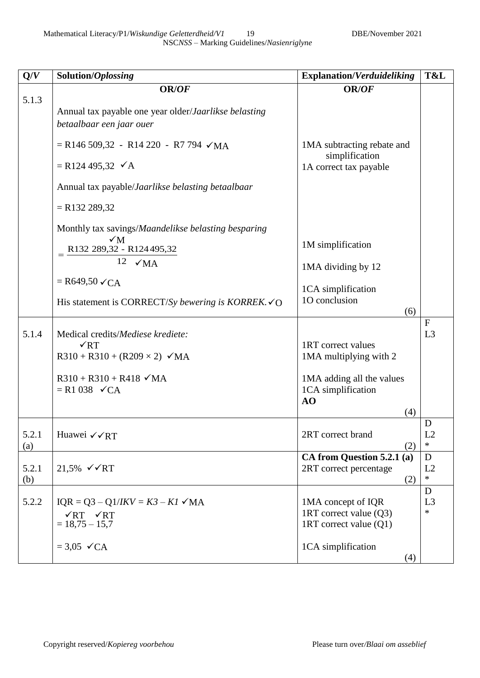Mathematical Literacy/P1/*Wiskundige Geletterdheid/V1* 19 DBE/November 2021 NSC*NSS* – Marking Guidelines/*Nasienriglyne*

| Q/V          | Solution/Oplossing                                                                                                                                                      | <b>Explanation/Verduideliking</b>                                                                            | T&L                |
|--------------|-------------------------------------------------------------------------------------------------------------------------------------------------------------------------|--------------------------------------------------------------------------------------------------------------|--------------------|
|              | OR/OF                                                                                                                                                                   | OR/OF                                                                                                        |                    |
| 5.1.3        | Annual tax payable one year older/Jaarlikse belasting<br>betaalbaar een jaar ouer                                                                                       |                                                                                                              |                    |
|              | $=$ R146 509,32 - R14 220 - R7 794 $\checkmark$ MA                                                                                                                      | 1MA subtracting rebate and<br>simplification                                                                 |                    |
|              | $=$ R124 495,32 $\checkmark$ A                                                                                                                                          | 1A correct tax payable                                                                                       |                    |
|              | Annual tax payable/Jaarlikse belasting betaalbaar                                                                                                                       |                                                                                                              |                    |
|              | $=$ R132 289,32                                                                                                                                                         |                                                                                                              |                    |
|              | Monthly tax savings/Maandelikse belasting besparing                                                                                                                     |                                                                                                              |                    |
|              | $\sqrt{M}$<br>R132 289,32 - R124 495,32                                                                                                                                 | 1M simplification                                                                                            |                    |
|              | 12 $\sqrt{MA}$                                                                                                                                                          | 1MA dividing by 12                                                                                           |                    |
|              | $=$ R649,50 $\checkmark$ CA                                                                                                                                             | 1CA simplification                                                                                           |                    |
|              | His statement is CORRECT/Sy bewering is KORREK. $\checkmark$ O                                                                                                          | 10 conclusion<br>(6)                                                                                         |                    |
| 5.1.4        | Medical credits/Mediese krediete:<br>$\sqrt{RT}$<br>$R310 + R310 + (R209 \times 2)$ $\checkmark$ MA<br>$R310 + R310 + R418$ $\checkmark$ MA<br>$= R1 038 \checkmark$ CA | 1RT correct values<br>1MA multiplying with 2<br>1MA adding all the values<br>1CA simplification<br>AO<br>(4) | $\mathbf{F}$<br>L3 |
|              |                                                                                                                                                                         |                                                                                                              | D                  |
| 5.2.1<br>(a) | Huawei √√RT                                                                                                                                                             | 2RT correct brand<br>(2)                                                                                     | L2<br>$\ast$       |
| 5.2.1<br>(b) | 21,5% $\checkmark$ √ RT                                                                                                                                                 | CA from Question 5.2.1 (a)<br>2RT correct percentage<br>(2)                                                  | D<br>L2<br>*       |
| 5.2.2        | $IQR = Q3 - Q1/IKV = K3 - K1 \, \checkmark \, MA$<br>$\sqrt{RT}$ $\sqrt{RT}$<br>$= 18,75 - 15,7$                                                                        | 1MA concept of IQR<br>1RT correct value $(Q3)$<br>1RT correct value $(Q1)$                                   | D<br>L3<br>$\ast$  |
|              | $= 3.05 \checkmark$ CA                                                                                                                                                  | 1CA simplification<br>(4)                                                                                    |                    |